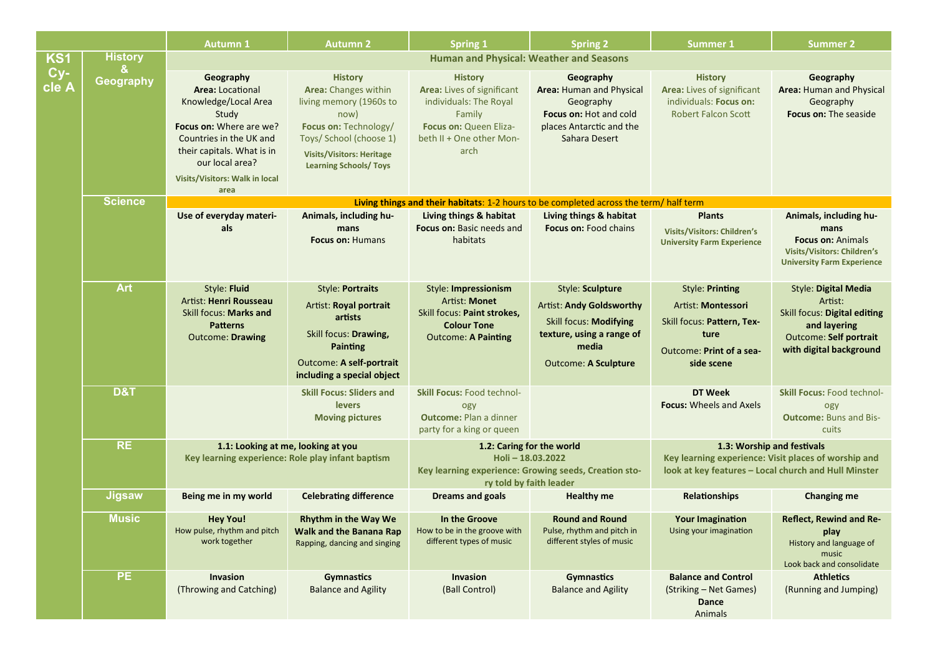|                     |                | <b>Autumn 1</b>                                                                                                                                                                                                        | <b>Autumn 2</b>                                                                                                                                                                                           | <b>Spring 1</b>                                                                                                                                | <b>Spring 2</b>                                                                                                                       | Summer 1                                                                                                                                   | <b>Summer 2</b>                                                                                                                |  |
|---------------------|----------------|------------------------------------------------------------------------------------------------------------------------------------------------------------------------------------------------------------------------|-----------------------------------------------------------------------------------------------------------------------------------------------------------------------------------------------------------|------------------------------------------------------------------------------------------------------------------------------------------------|---------------------------------------------------------------------------------------------------------------------------------------|--------------------------------------------------------------------------------------------------------------------------------------------|--------------------------------------------------------------------------------------------------------------------------------|--|
| KS1<br>Cy-<br>cle A | <b>History</b> | <b>Human and Physical: Weather and Seasons</b>                                                                                                                                                                         |                                                                                                                                                                                                           |                                                                                                                                                |                                                                                                                                       |                                                                                                                                            |                                                                                                                                |  |
|                     | &<br>Geography | Geography<br><b>Area: Locational</b><br>Knowledge/Local Area<br>Study<br>Focus on: Where are we?<br>Countries in the UK and<br>their capitals. What is in<br>our local area?<br>Visits/Visitors: Walk in local<br>area | <b>History</b><br><b>Area:</b> Changes within<br>living memory (1960s to<br>now)<br>Focus on: Technology/<br>Toys/ School (choose 1)<br><b>Visits/Visitors: Heritage</b><br><b>Learning Schools/ Toys</b> | <b>History</b><br>Area: Lives of significant<br>individuals: The Royal<br>Family<br>Focus on: Queen Eliza-<br>beth II + One other Mon-<br>arch | Geography<br>Area: Human and Physical<br>Geography<br>Focus on: Hot and cold<br>places Antarctic and the<br>Sahara Desert             | <b>History</b><br>Area: Lives of significant<br>individuals: Focus on:<br><b>Robert Falcon Scott</b>                                       | Geography<br>Area: Human and Physical<br>Geography<br><b>Focus on: The seaside</b>                                             |  |
|                     | <b>Science</b> |                                                                                                                                                                                                                        |                                                                                                                                                                                                           |                                                                                                                                                | Living things and their habitats: 1-2 hours to be completed across the term/ half term                                                |                                                                                                                                            |                                                                                                                                |  |
|                     |                | Use of everyday materi-<br>als                                                                                                                                                                                         | Animals, including hu-<br>mans<br><b>Focus on: Humans</b>                                                                                                                                                 | Living things & habitat<br>Focus on: Basic needs and<br>habitats                                                                               | Living things & habitat<br><b>Focus on: Food chains</b>                                                                               | <b>Plants</b><br><b>Visits/Visitors: Children's</b><br><b>University Farm Experience</b>                                                   | Animals, including hu-<br>mans<br><b>Focus on: Animals</b><br>Visits/Visitors: Children's<br><b>University Farm Experience</b> |  |
|                     | <b>Art</b>     | Style: Fluid                                                                                                                                                                                                           | <b>Style: Portraits</b>                                                                                                                                                                                   | Style: Impressionism                                                                                                                           | Style: Sculpture                                                                                                                      | Style: Printing                                                                                                                            | <b>Style: Digital Media</b>                                                                                                    |  |
|                     |                | Artist: Henri Rousseau<br>Skill focus: Marks and<br><b>Patterns</b><br><b>Outcome: Drawing</b>                                                                                                                         | Artist: Royal portrait<br>artists<br>Skill focus: Drawing,<br><b>Painting</b><br><b>Outcome: A self-portrait</b><br>including a special object                                                            | Artist: Monet<br>Skill focus: Paint strokes,<br><b>Colour Tone</b><br><b>Outcome: A Painting</b>                                               | <b>Artist: Andy Goldsworthy</b><br><b>Skill focus: Modifying</b><br>texture, using a range of<br>media<br><b>Outcome: A Sculpture</b> | Artist: Montessori<br>Skill focus: Pattern, Tex-<br>ture<br>Outcome: Print of a sea-<br>side scene                                         | Artist:<br>Skill focus: Digital editing<br>and layering<br><b>Outcome: Self portrait</b><br>with digital background            |  |
|                     | <b>D&amp;T</b> |                                                                                                                                                                                                                        | <b>Skill Focus: Sliders and</b><br>levers<br><b>Moving pictures</b>                                                                                                                                       | <b>Skill Focus: Food technol-</b><br>ogy<br><b>Outcome: Plan a dinner</b><br>party for a king or queen                                         |                                                                                                                                       | DT Week<br><b>Focus:</b> Wheels and Axels                                                                                                  | <b>Skill Focus: Food technol-</b><br>ogy<br><b>Outcome: Buns and Bis-</b><br>cuits                                             |  |
|                     | <b>RE</b>      | 1.1: Looking at me, looking at you<br>Key learning experience: Role play infant baptism                                                                                                                                |                                                                                                                                                                                                           | 1.2: Caring for the world<br>Holi-18.03.2022<br>Key learning experience: Growing seeds, Creation sto-<br>ry told by faith leader               |                                                                                                                                       | 1.3: Worship and festivals<br>Key learning experience: Visit places of worship and<br>look at key features - Local church and Hull Minster |                                                                                                                                |  |
|                     | <b>Jigsaw</b>  | Being me in my world                                                                                                                                                                                                   | <b>Celebrating difference</b>                                                                                                                                                                             | <b>Dreams and goals</b>                                                                                                                        | <b>Healthy me</b>                                                                                                                     | Relationships                                                                                                                              | <b>Changing me</b>                                                                                                             |  |
|                     | <b>Music</b>   | <b>Hey You!</b><br>How pulse, rhythm and pitch<br>work together                                                                                                                                                        | <b>Rhythm in the Way We</b><br>Walk and the Banana Rap<br>Rapping, dancing and singing                                                                                                                    | In the Groove<br>How to be in the groove with<br>different types of music                                                                      | <b>Round and Round</b><br>Pulse, rhythm and pitch in<br>different styles of music                                                     | <b>Your Imagination</b><br>Using your imagination                                                                                          | <b>Reflect, Rewind and Re-</b><br>play<br>History and language of<br>music<br>Look back and consolidate                        |  |
|                     | <b>PE</b>      | Invasion<br>(Throwing and Catching)                                                                                                                                                                                    | <b>Gymnastics</b><br><b>Balance and Agility</b>                                                                                                                                                           | Invasion<br>(Ball Control)                                                                                                                     | <b>Gymnastics</b><br><b>Balance and Agility</b>                                                                                       | <b>Balance and Control</b><br>(Striking – Net Games)<br>Dance<br>Animals                                                                   | <b>Athletics</b><br>(Running and Jumping)                                                                                      |  |